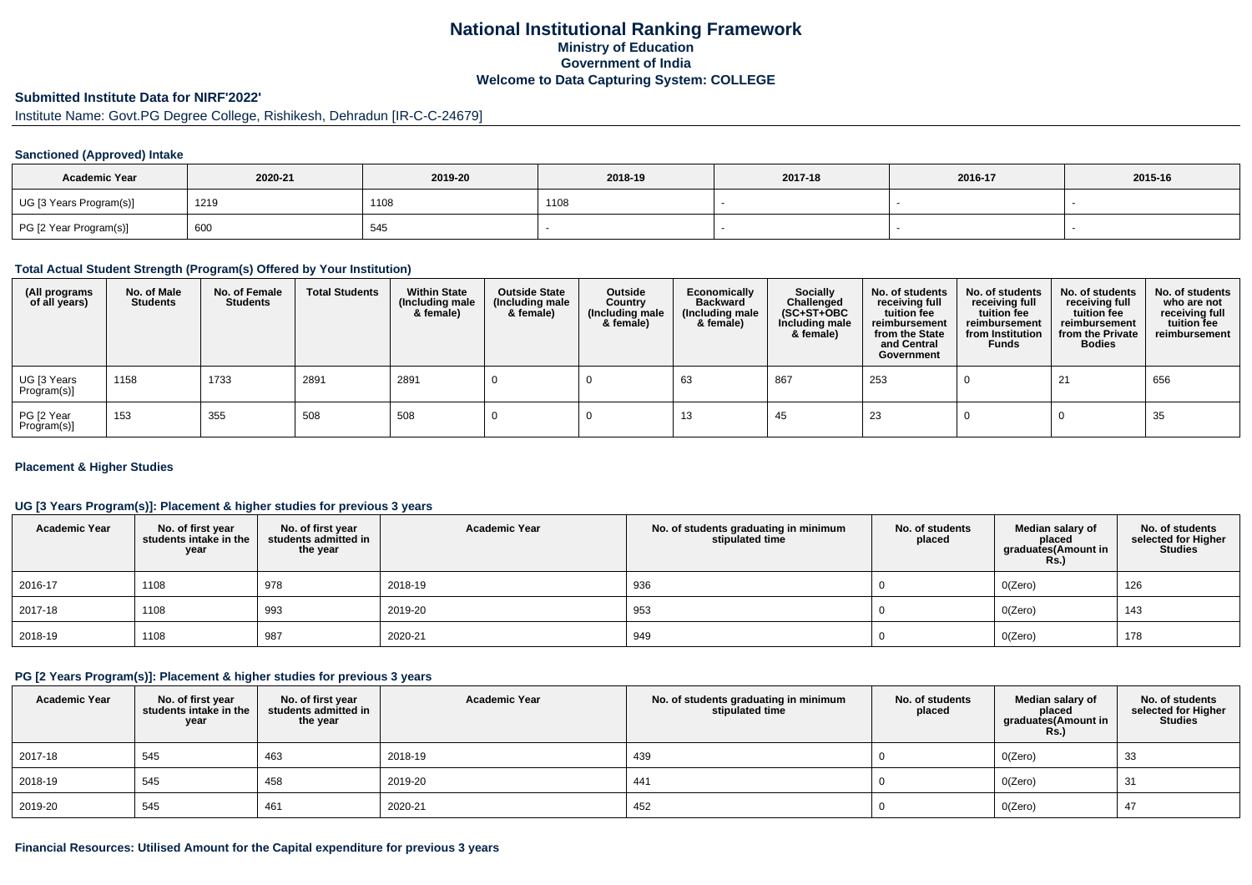## **National Institutional Ranking FrameworkMinistry of Education Government of IndiaWelcome to Data Capturing System: COLLEGE**

### **Submitted Institute Data for NIRF'2022'**

Institute Name: Govt.PG Degree College, Rishikesh, Dehradun [IR-C-C-24679]

#### **Sanctioned (Approved) Intake**

| <b>Academic Year</b>    | 2020-21 | 2019-20 | 2018-19 | 2017-18 | 2016-17 | 2015-16 |
|-------------------------|---------|---------|---------|---------|---------|---------|
| UG [3 Years Program(s)] | 1219    | 1108    | 1108    |         |         |         |
| PG [2 Year Program(s)]  | 600     | 545     |         |         |         |         |

### **Total Actual Student Strength (Program(s) Offered by Your Institution)**

| (All programs<br>of all years) | No. of Male<br><b>Students</b> | No. of Female<br><b>Students</b> | <b>Total Students</b> | <b>Within State</b><br>(Including male<br>& female) | <b>Outside State</b><br>(Including male<br>& female) | Outside<br>Country<br>(Including male<br>& female) | Economically<br><b>Backward</b><br>(Including male<br>& female) | <b>Socially</b><br>Challenged<br>$(SC+ST+OBC)$<br>Including male<br>& female) | No. of students<br>receiving full<br>tuition fee<br>reimbursement<br>from the State<br>and Central<br>Government | No. of students<br>receiving full<br>tuition fee<br>reimbursement<br>from Institution<br><b>Funds</b> | No. of students<br>receiving full<br>tuition fee<br>reimbursement<br>from the Private<br><b>Bodies</b> | No. of students<br>who are not<br>receiving full<br>tuition fee<br>reimbursement |
|--------------------------------|--------------------------------|----------------------------------|-----------------------|-----------------------------------------------------|------------------------------------------------------|----------------------------------------------------|-----------------------------------------------------------------|-------------------------------------------------------------------------------|------------------------------------------------------------------------------------------------------------------|-------------------------------------------------------------------------------------------------------|--------------------------------------------------------------------------------------------------------|----------------------------------------------------------------------------------|
| UG [3 Years<br>Program(s)]     | 1158                           | 1733                             | 2891                  | 2891                                                |                                                      |                                                    | 63                                                              | 867                                                                           | 253                                                                                                              |                                                                                                       | 21                                                                                                     | 656                                                                              |
| PG [2 Year<br>Program(s)]      | 153                            | 355                              | 508                   | 508                                                 |                                                      |                                                    | 13                                                              | -45                                                                           | 23                                                                                                               |                                                                                                       |                                                                                                        | 35                                                                               |

#### **Placement & Higher Studies**

### **UG [3 Years Program(s)]: Placement & higher studies for previous 3 years**

| <b>Academic Year</b> | No. of first year<br>students intake in the<br>year | No. of first year<br>students admitted in<br>the year | <b>Academic Year</b> | No. of students graduating in minimum<br>stipulated time | No. of students<br>placed | Median salary of<br>placed<br>graduates(Amount in<br><b>Rs.)</b> | No. of students<br>selected for Higher<br><b>Studies</b> |
|----------------------|-----------------------------------------------------|-------------------------------------------------------|----------------------|----------------------------------------------------------|---------------------------|------------------------------------------------------------------|----------------------------------------------------------|
| 2016-17              | 1108                                                | 978                                                   | 2018-19              | 936                                                      |                           | O(Zero)                                                          | 126                                                      |
| 2017-18              | 1108                                                | 993                                                   | 2019-20              | 953                                                      |                           | O(Zero)                                                          | 143                                                      |
| 2018-19              | 1108                                                | 987                                                   | 2020-21              | 949                                                      |                           | O(Zero)                                                          | 178                                                      |

### **PG [2 Years Program(s)]: Placement & higher studies for previous 3 years**

| <b>Academic Year</b> | No. of first year<br>students intake in the<br>year | No. of first year<br>students admitted in<br>the year | <b>Academic Year</b> | No. of students graduating in minimum<br>stipulated time | No. of students<br>placed | Median salary of<br>placed<br>graduates(Amount in<br><b>Rs.)</b> | No. of students<br>selected for Higher<br><b>Studies</b> |
|----------------------|-----------------------------------------------------|-------------------------------------------------------|----------------------|----------------------------------------------------------|---------------------------|------------------------------------------------------------------|----------------------------------------------------------|
| 2017-18              | 545                                                 | 463                                                   | 2018-19              | 439                                                      |                           | O(Zero)                                                          | 33                                                       |
| 2018-19              | 545                                                 | 458                                                   | 2019-20              | 441                                                      |                           | 0(Zero)                                                          | 31                                                       |
| 2019-20              | 545                                                 | 461                                                   | 2020-21              | 452                                                      |                           | O(Zero)                                                          |                                                          |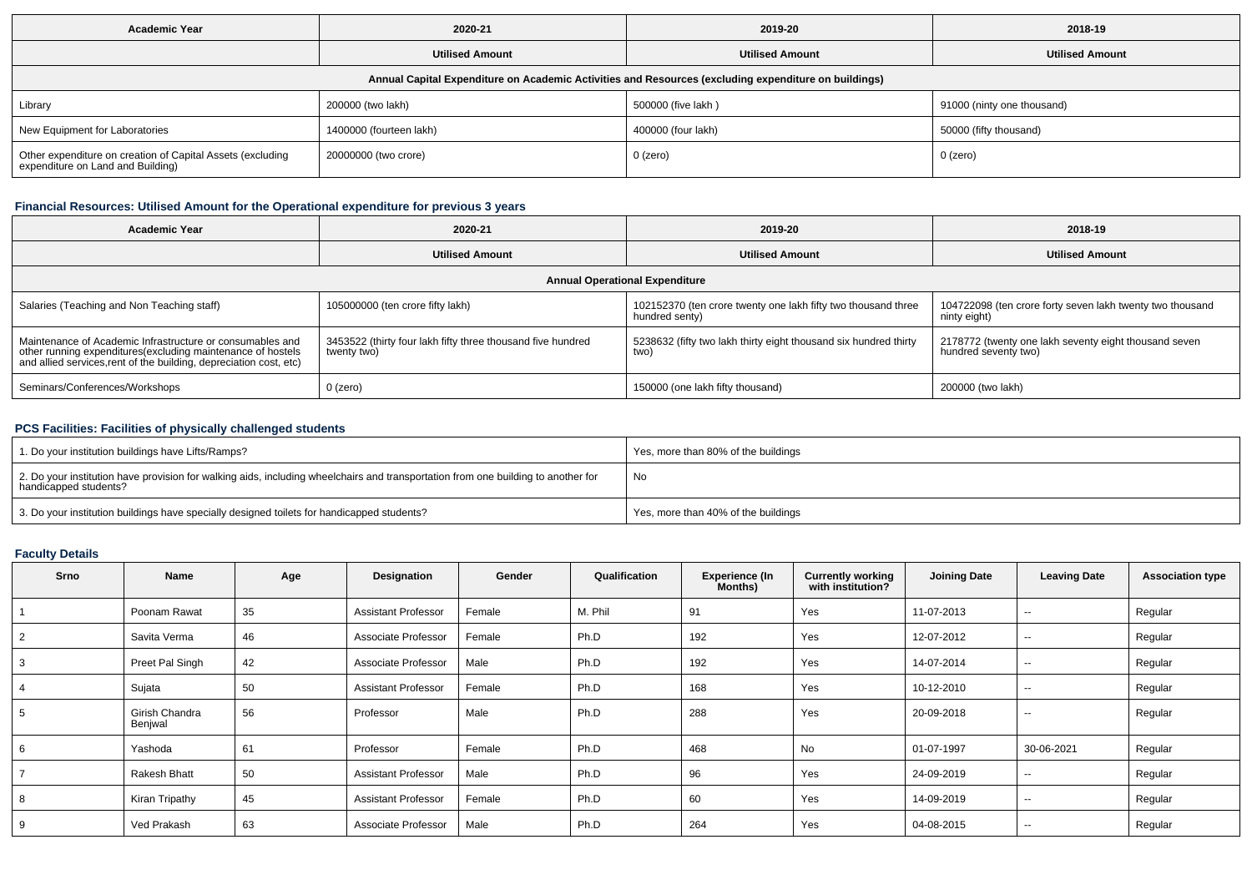| <b>Academic Year</b>                                                                                 | 2020-21                 | 2019-20                | 2018-19                    |  |  |  |  |  |  |  |
|------------------------------------------------------------------------------------------------------|-------------------------|------------------------|----------------------------|--|--|--|--|--|--|--|
|                                                                                                      | <b>Utilised Amount</b>  | <b>Utilised Amount</b> | <b>Utilised Amount</b>     |  |  |  |  |  |  |  |
| Annual Capital Expenditure on Academic Activities and Resources (excluding expenditure on buildings) |                         |                        |                            |  |  |  |  |  |  |  |
| Library                                                                                              | 200000 (two lakh)       | 500000 (five lakh)     | 91000 (ninty one thousand) |  |  |  |  |  |  |  |
| New Equipment for Laboratories                                                                       | 1400000 (fourteen lakh) | 400000 (four lakh)     | 50000 (fifty thousand)     |  |  |  |  |  |  |  |
| Other expenditure on creation of Capital Assets (excluding<br>expenditure on Land and Building)      | 20000000 (two crore)    | 0 (zero)               | 0 (zero)                   |  |  |  |  |  |  |  |

## **Financial Resources: Utilised Amount for the Operational expenditure for previous 3 years**

| 2020-21<br><b>Academic Year</b>                                                                                                                                                                 |                                                                            | 2019-20                                                                         | 2018-19                                                                       |  |  |  |  |  |  |  |
|-------------------------------------------------------------------------------------------------------------------------------------------------------------------------------------------------|----------------------------------------------------------------------------|---------------------------------------------------------------------------------|-------------------------------------------------------------------------------|--|--|--|--|--|--|--|
| <b>Utilised Amount</b>                                                                                                                                                                          |                                                                            | <b>Utilised Amount</b>                                                          | <b>Utilised Amount</b>                                                        |  |  |  |  |  |  |  |
| <b>Annual Operational Expenditure</b>                                                                                                                                                           |                                                                            |                                                                                 |                                                                               |  |  |  |  |  |  |  |
| Salaries (Teaching and Non Teaching staff)                                                                                                                                                      | 105000000 (ten crore fifty lakh)                                           | 102152370 (ten crore twenty one lakh fifty two thousand three<br>hundred senty) | 104722098 (ten crore forty seven lakh twenty two thousand<br>ninty eight)     |  |  |  |  |  |  |  |
| Maintenance of Academic Infrastructure or consumables and<br>other running expenditures (excluding maintenance of hostels<br>and allied services, rent of the building, depreciation cost, etc) | 3453522 (thirty four lakh fifty three thousand five hundred<br>twenty two) | 5238632 (fifty two lakh thirty eight thousand six hundred thirty<br>two)        | 2178772 (twenty one lakh seventy eight thousand seven<br>hundred seventy two) |  |  |  |  |  |  |  |
| Seminars/Conferences/Workshops                                                                                                                                                                  | $0$ (zero)                                                                 | 150000 (one lakh fifty thousand)                                                | 200000 (two lakh)                                                             |  |  |  |  |  |  |  |

## **PCS Facilities: Facilities of physically challenged students**

| 1. Do your institution buildings have Lifts/Ramps?                                                                                                         | Yes, more than 80% of the buildings |
|------------------------------------------------------------------------------------------------------------------------------------------------------------|-------------------------------------|
| 2. Do your institution have provision for walking aids, including wheelchairs and transportation from one building to another for<br>handicapped students? | No                                  |
| 3. Do your institution buildings have specially designed toilets for handicapped students?                                                                 | Yes, more than 40% of the buildings |

# **Faculty Details**

| <b>Srno</b> | <b>Name</b>               | Age | Designation                | Gender | Qualification | <b>Experience (In</b><br>Months) | <b>Currently working</b><br>with institution? | <b>Joining Date</b> | <b>Leaving Date</b>      | <b>Association type</b> |
|-------------|---------------------------|-----|----------------------------|--------|---------------|----------------------------------|-----------------------------------------------|---------------------|--------------------------|-------------------------|
|             | Poonam Rawat              | 35  | <b>Assistant Professor</b> | Female | M. Phil       | 91                               | Yes                                           | 11-07-2013          | --                       | Regular                 |
| 2           | Savita Verma              | 46  | Associate Professor        | Female | Ph.D          | 192                              | Yes                                           | 12-07-2012          | --                       | Regular                 |
| 3           | Preet Pal Singh           | 42  | Associate Professor        | Male   | Ph.D          | 192                              | Yes                                           | 14-07-2014          | --                       | Regular                 |
|             | Sujata                    | 50  | <b>Assistant Professor</b> | Female | Ph.D          | 168                              | Yes                                           | 10-12-2010          | $\sim$                   | Regular                 |
| 5           | Girish Chandra<br>Benjwal | 56  | Professor                  | Male   | Ph.D          | 288                              | Yes                                           | 20-09-2018          | $\overline{\phantom{a}}$ | Regular                 |
| 6           | Yashoda                   | 61  | Professor                  | Female | Ph.D          | 468                              | No                                            | 01-07-1997          | 30-06-2021               | Regular                 |
|             | Rakesh Bhatt              | 50  | <b>Assistant Professor</b> | Male   | Ph.D          | 96                               | Yes                                           | 24-09-2019          | $\sim$                   | Regular                 |
| 8           | Kiran Tripathy            | 45  | <b>Assistant Professor</b> | Female | Ph.D          | 60                               | Yes                                           | 14-09-2019          | --                       | Regular                 |
| 9           | Ved Prakash               | 63  | Associate Professor        | Male   | Ph.D          | 264                              | Yes                                           | 04-08-2015          | --                       | Regular                 |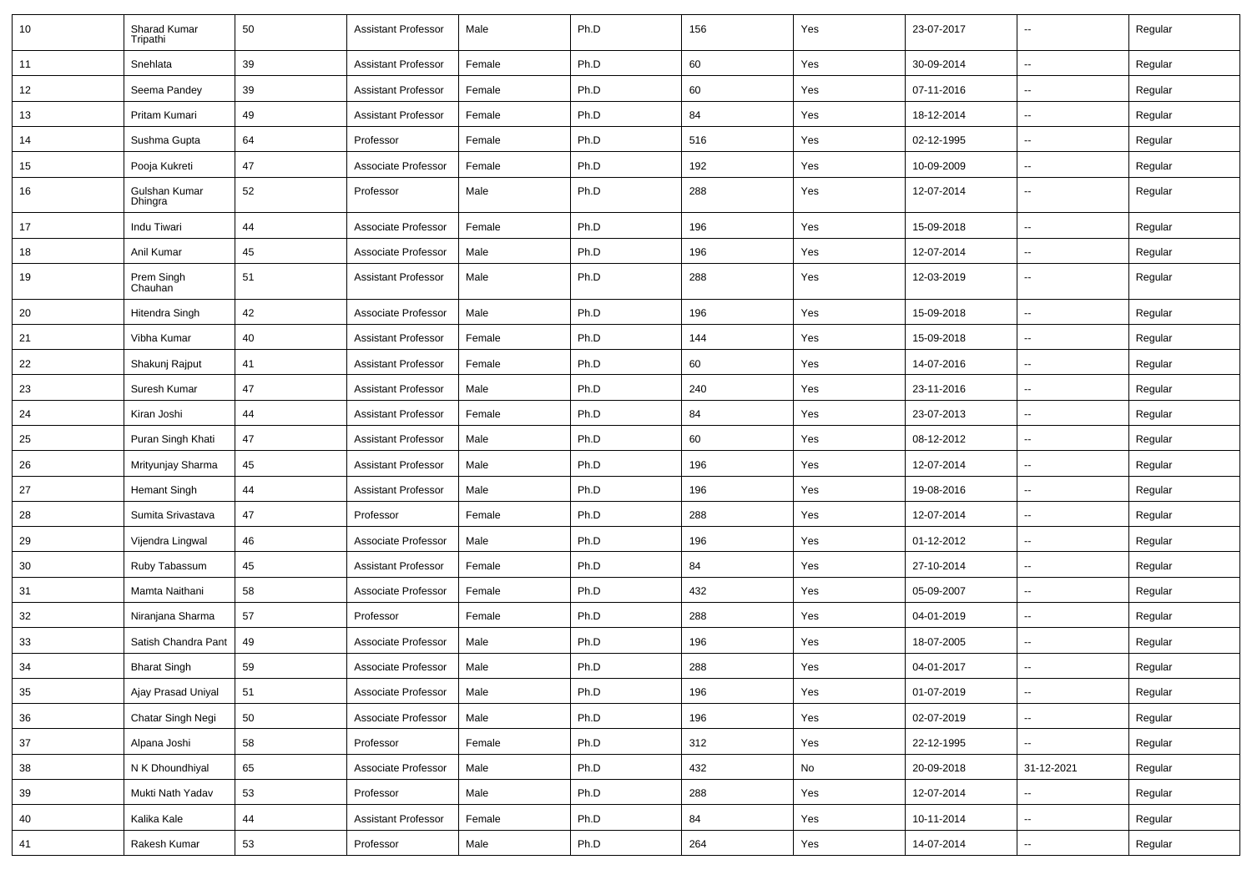| 10     | Sharad Kumar<br>Tripathi | 50 | <b>Assistant Professor</b> | Male   | Ph.D | 156 | Yes | 23-07-2017 | $\overline{\phantom{a}}$ | Regular |
|--------|--------------------------|----|----------------------------|--------|------|-----|-----|------------|--------------------------|---------|
| 11     | Snehlata                 | 39 | <b>Assistant Professor</b> | Female | Ph.D | 60  | Yes | 30-09-2014 | $\overline{\phantom{a}}$ | Regular |
| 12     | Seema Pandey             | 39 | Assistant Professor        | Female | Ph.D | 60  | Yes | 07-11-2016 | --                       | Regular |
| 13     | Pritam Kumari            | 49 | <b>Assistant Professor</b> | Female | Ph.D | 84  | Yes | 18-12-2014 | ⊷.                       | Regular |
| 14     | Sushma Gupta             | 64 | Professor                  | Female | Ph.D | 516 | Yes | 02-12-1995 | $\overline{\phantom{a}}$ | Regular |
| 15     | Pooja Kukreti            | 47 | Associate Professor        | Female | Ph.D | 192 | Yes | 10-09-2009 | --                       | Regular |
| 16     | Gulshan Kumar<br>Dhingra | 52 | Professor                  | Male   | Ph.D | 288 | Yes | 12-07-2014 | $\overline{\phantom{a}}$ | Regular |
| 17     | Indu Tiwari              | 44 | Associate Professor        | Female | Ph.D | 196 | Yes | 15-09-2018 | Ξ.                       | Regular |
| 18     | Anil Kumar               | 45 | Associate Professor        | Male   | Ph.D | 196 | Yes | 12-07-2014 | ⊶.                       | Regular |
| 19     | Prem Singh<br>Chauhan    | 51 | <b>Assistant Professor</b> | Male   | Ph.D | 288 | Yes | 12-03-2019 | -−                       | Regular |
| 20     | Hitendra Singh           | 42 | Associate Professor        | Male   | Ph.D | 196 | Yes | 15-09-2018 | --                       | Regular |
| 21     | Vibha Kumar              | 40 | <b>Assistant Professor</b> | Female | Ph.D | 144 | Yes | 15-09-2018 | ⊷.                       | Regular |
| 22     | Shakunj Rajput           | 41 | <b>Assistant Professor</b> | Female | Ph.D | 60  | Yes | 14-07-2016 | $\overline{\phantom{a}}$ | Regular |
| 23     | Suresh Kumar             | 47 | <b>Assistant Professor</b> | Male   | Ph.D | 240 | Yes | 23-11-2016 | --                       | Regular |
| 24     | Kiran Joshi              | 44 | <b>Assistant Professor</b> | Female | Ph.D | 84  | Yes | 23-07-2013 | $\overline{\phantom{a}}$ | Regular |
| 25     | Puran Singh Khati        | 47 | <b>Assistant Professor</b> | Male   | Ph.D | 60  | Yes | 08-12-2012 | $\overline{\phantom{a}}$ | Regular |
| 26     | Mrityunjay Sharma        | 45 | <b>Assistant Professor</b> | Male   | Ph.D | 196 | Yes | 12-07-2014 | --                       | Regular |
| 27     | <b>Hemant Singh</b>      | 44 | <b>Assistant Professor</b> | Male   | Ph.D | 196 | Yes | 19-08-2016 | $\overline{\phantom{a}}$ | Regular |
| 28     | Sumita Srivastava        | 47 | Professor                  | Female | Ph.D | 288 | Yes | 12-07-2014 | $\overline{\phantom{a}}$ | Regular |
| 29     | Vijendra Lingwal         | 46 | Associate Professor        | Male   | Ph.D | 196 | Yes | 01-12-2012 | -−                       | Regular |
| 30     | Ruby Tabassum            | 45 | <b>Assistant Professor</b> | Female | Ph.D | 84  | Yes | 27-10-2014 | Ξ.                       | Regular |
| 31     | Mamta Naithani           | 58 | Associate Professor        | Female | Ph.D | 432 | Yes | 05-09-2007 | $\overline{\phantom{a}}$ | Regular |
| 32     | Niranjana Sharma         | 57 | Professor                  | Female | Ph.D | 288 | Yes | 04-01-2019 | -−                       | Regular |
| 33     | Satish Chandra Pant      | 49 | Associate Professor        | Male   | Ph.D | 196 | Yes | 18-07-2005 | $\overline{\phantom{a}}$ | Regular |
| 34     | <b>Bharat Singh</b>      | 59 | Associate Professor        | Male   | Ph.D | 288 | Yes | 04-01-2017 |                          | Regular |
| 35     | Ajay Prasad Uniyal       | 51 | Associate Professor        | Male   | Ph.D | 196 | Yes | 01-07-2019 | Щ,                       | Regular |
| 36     | Chatar Singh Negi        | 50 | Associate Professor        | Male   | Ph.D | 196 | Yes | 02-07-2019 | Щ,                       | Regular |
| 37     | Alpana Joshi             | 58 | Professor                  | Female | Ph.D | 312 | Yes | 22-12-1995 | ц,                       | Regular |
| $38\,$ | N K Dhoundhiyal          | 65 | Associate Professor        | Male   | Ph.D | 432 | No  | 20-09-2018 | 31-12-2021               | Regular |
| 39     | Mukti Nath Yadav         | 53 | Professor                  | Male   | Ph.D | 288 | Yes | 12-07-2014 | Щ,                       | Regular |
| $40\,$ | Kalika Kale              | 44 | <b>Assistant Professor</b> | Female | Ph.D | 84  | Yes | 10-11-2014 | ⊶.                       | Regular |
| 41     | Rakesh Kumar             | 53 | Professor                  | Male   | Ph.D | 264 | Yes | 14-07-2014 | н,                       | Regular |